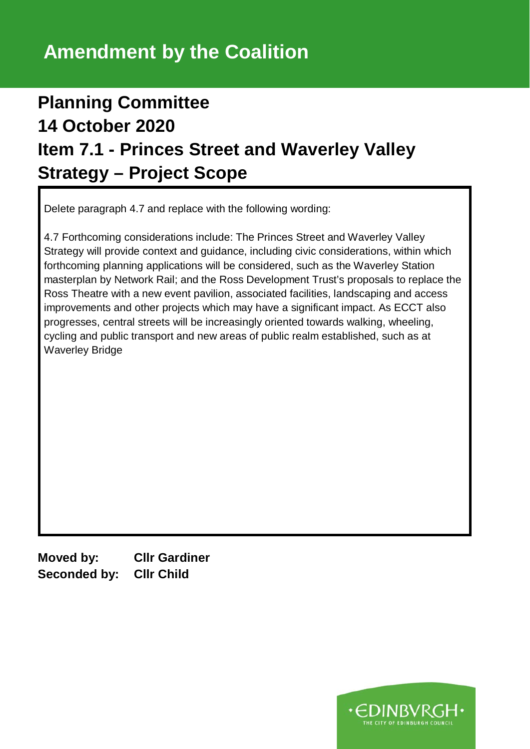## **Planning Committee 14 October 2020 Item 7.1 - Princes Street and Waverley Valley Strategy – Project Scope**

Delete paragraph 4.7 and replace with the following wording:

4.7 Forthcoming considerations include: The Princes Street and Waverley Valley Strategy will provide context and guidance, including civic considerations, within which forthcoming planning applications will be considered, such as the Waverley Station masterplan by Network Rail; and the Ross Development Trust's proposals to replace the Ross Theatre with a new event pavilion, associated facilities, landscaping and access improvements and other projects which may have a significant impact. As ECCT also progresses, central streets will be increasingly oriented towards walking, wheeling, cycling and public transport and new areas of public realm established, such as at Waverley Bridge

**Moved by: Cllr Gardiner Seconded by: Cllr Child**

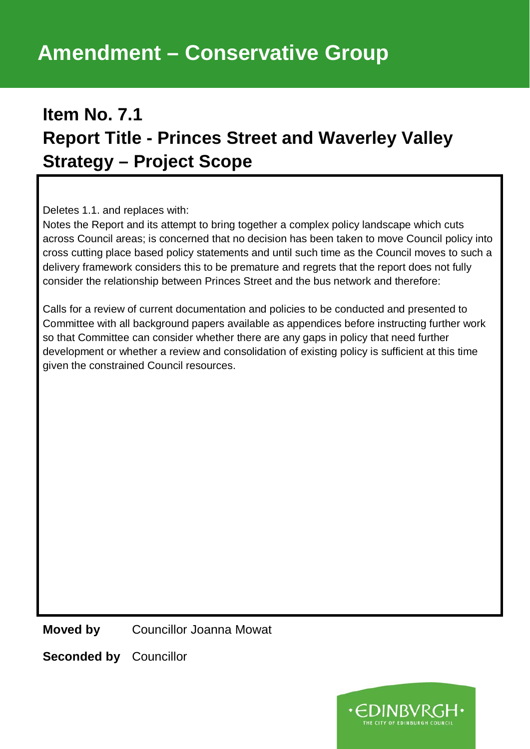## **Item No. 7.1 Report Title - Princes Street and Waverley Valley Strategy – Project Scope**

Deletes 1.1. and replaces with:

Notes the Report and its attempt to bring together a complex policy landscape which cuts across Council areas; is concerned that no decision has been taken to move Council policy into cross cutting place based policy statements and until such time as the Council moves to such a delivery framework considers this to be premature and regrets that the report does not fully consider the relationship between Princes Street and the bus network and therefore:

Calls for a review of current documentation and policies to be conducted and presented to Committee with all background papers available as appendices before instructing further work so that Committee can consider whether there are any gaps in policy that need further development or whether a review and consolidation of existing policy is sufficient at this time given the constrained Council resources.

**Moved by** Councillor Joanna Mowat

**Seconded by** Councillor